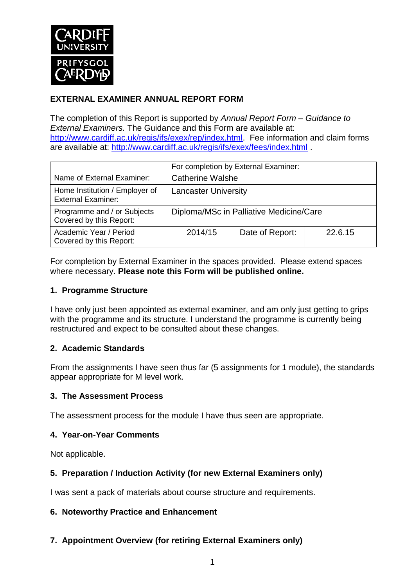

# **EXTERNAL EXAMINER ANNUAL REPORT FORM**

The completion of this Report is supported by *Annual Report Form – Guidance to External Examiners.* The Guidance and this Form are available at: [http://www.cardiff.ac.uk/regis/ifs/exex/rep/index.html.](http://www.cardiff.ac.uk/regis/ifs/exex/rep/index.html) Fee information and claim forms are available at:<http://www.cardiff.ac.uk/regis/ifs/exex/fees/index.html> .

|                                                             | For completion by External Examiner:    |                 |         |  |
|-------------------------------------------------------------|-----------------------------------------|-----------------|---------|--|
| Name of External Examiner:                                  | <b>Catherine Walshe</b>                 |                 |         |  |
| Home Institution / Employer of<br><b>External Examiner:</b> | <b>Lancaster University</b>             |                 |         |  |
| Programme and / or Subjects<br>Covered by this Report:      | Diploma/MSc in Palliative Medicine/Care |                 |         |  |
| Academic Year / Period<br>Covered by this Report:           | 2014/15                                 | Date of Report: | 22.6.15 |  |

For completion by External Examiner in the spaces provided. Please extend spaces where necessary. **Please note this Form will be published online.**

#### **1. Programme Structure**

I have only just been appointed as external examiner, and am only just getting to grips with the programme and its structure. I understand the programme is currently being restructured and expect to be consulted about these changes.

## **2. Academic Standards**

From the assignments I have seen thus far (5 assignments for 1 module), the standards appear appropriate for M level work.

#### **3. The Assessment Process**

The assessment process for the module I have thus seen are appropriate.

#### **4. Year-on-Year Comments**

Not applicable.

## **5. Preparation / Induction Activity (for new External Examiners only)**

I was sent a pack of materials about course structure and requirements.

#### **6. Noteworthy Practice and Enhancement**

**7. Appointment Overview (for retiring External Examiners only)**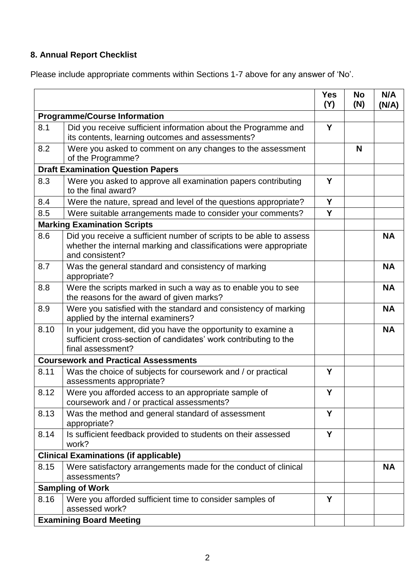# **8. Annual Report Checklist**

Please include appropriate comments within Sections 1-7 above for any answer of 'No'.

|                                             |                                                                                                                                                             | <b>Yes</b><br>(Y) | <b>No</b><br>(N) | N/A<br>(N/A) |  |
|---------------------------------------------|-------------------------------------------------------------------------------------------------------------------------------------------------------------|-------------------|------------------|--------------|--|
| <b>Programme/Course Information</b>         |                                                                                                                                                             |                   |                  |              |  |
| 8.1                                         | Did you receive sufficient information about the Programme and<br>its contents, learning outcomes and assessments?                                          | Y                 |                  |              |  |
| 8.2                                         | Were you asked to comment on any changes to the assessment<br>of the Programme?                                                                             |                   | N                |              |  |
| <b>Draft Examination Question Papers</b>    |                                                                                                                                                             |                   |                  |              |  |
| 8.3                                         | Were you asked to approve all examination papers contributing<br>to the final award?                                                                        | Y                 |                  |              |  |
| 8.4                                         | Were the nature, spread and level of the questions appropriate?                                                                                             | Y                 |                  |              |  |
| 8.5                                         | Were suitable arrangements made to consider your comments?                                                                                                  | Y                 |                  |              |  |
|                                             | <b>Marking Examination Scripts</b>                                                                                                                          |                   |                  |              |  |
| 8.6                                         | Did you receive a sufficient number of scripts to be able to assess<br>whether the internal marking and classifications were appropriate<br>and consistent? |                   |                  | <b>NA</b>    |  |
| 8.7                                         | Was the general standard and consistency of marking<br>appropriate?                                                                                         |                   |                  | <b>NA</b>    |  |
| 8.8                                         | Were the scripts marked in such a way as to enable you to see<br>the reasons for the award of given marks?                                                  |                   |                  | <b>NA</b>    |  |
| 8.9                                         | Were you satisfied with the standard and consistency of marking<br>applied by the internal examiners?                                                       |                   |                  | <b>NA</b>    |  |
| 8.10                                        | In your judgement, did you have the opportunity to examine a<br>sufficient cross-section of candidates' work contributing to the<br>final assessment?       |                   |                  | <b>NA</b>    |  |
| <b>Coursework and Practical Assessments</b> |                                                                                                                                                             |                   |                  |              |  |
| 8.11                                        | Was the choice of subjects for coursework and / or practical<br>assessments appropriate?                                                                    | Y                 |                  |              |  |
| 8.12                                        | Were you afforded access to an appropriate sample of<br>coursework and / or practical assessments?                                                          | Y                 |                  |              |  |
| 8.13                                        | Was the method and general standard of assessment<br>appropriate?                                                                                           | Y                 |                  |              |  |
| 8.14                                        | Is sufficient feedback provided to students on their assessed<br>work?                                                                                      | Y                 |                  |              |  |
|                                             | <b>Clinical Examinations (if applicable)</b>                                                                                                                |                   |                  |              |  |
| 8.15                                        | Were satisfactory arrangements made for the conduct of clinical<br>assessments?                                                                             |                   |                  | <b>NA</b>    |  |
|                                             | <b>Sampling of Work</b>                                                                                                                                     |                   |                  |              |  |
| 8.16                                        | Were you afforded sufficient time to consider samples of<br>assessed work?                                                                                  | Y                 |                  |              |  |
|                                             | <b>Examining Board Meeting</b>                                                                                                                              |                   |                  |              |  |